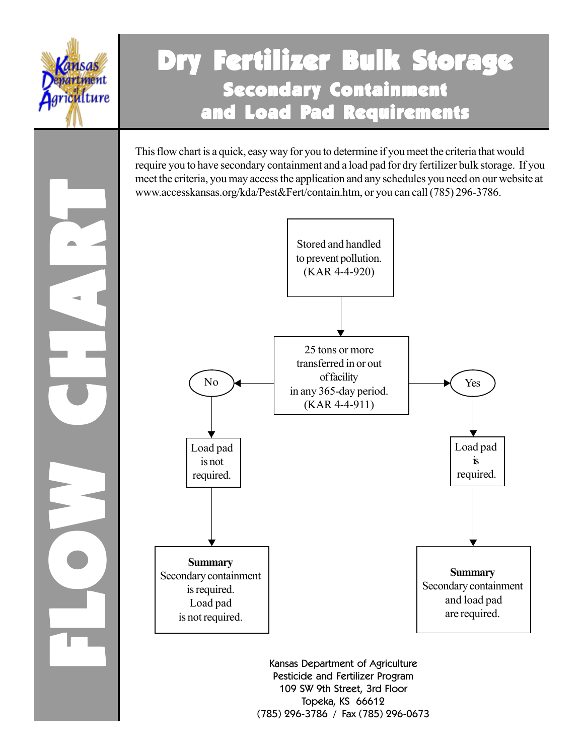

FLOW CHART FLOW

## Dry Fertilizer Bulk Storage Secondary Containment and Load Pad Requirements

This flow chart is a quick, easy way for you to determine if you meet the criteria that would require you to have secondary containment and a load pad for dry fertilizer bulk storage. If you meet the criteria, you may access the application and any schedules you need on our website at www.accesskansas.org/kda/Pest&Fert/contain.htm, or you can call (785) 296-3786.



Kansas Department of Agriculture Pesticide and Fertilizer Program 109 SW 9th Street, 3rd Floor Topeka, KS 66612 (785) 296-3786 / Fax (785) 296-0673